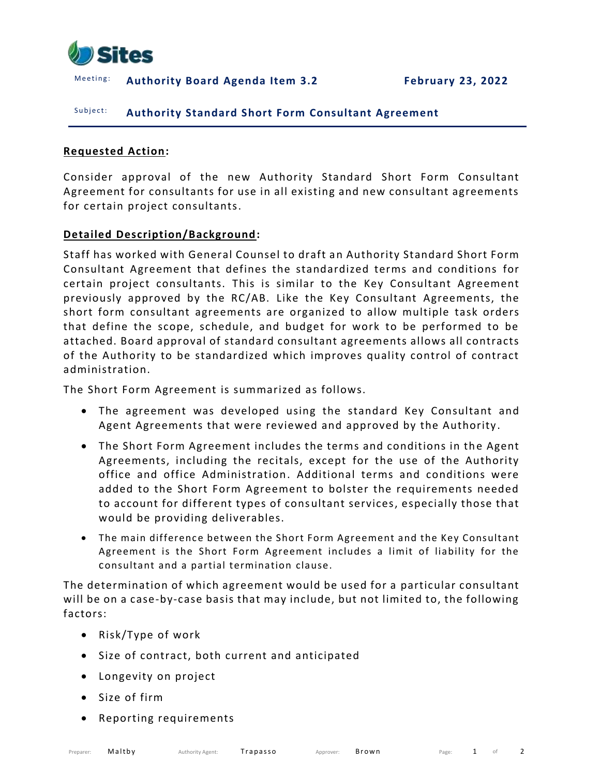

Meeting: Authority Board Agenda Item 3.2 February 23, 2022

#### Subject: **Authority Standard Short Form Consultant Agreement**

#### **Requested Action:**

Consider approval of the new Authority Standard Short Form Consultant Agreement for consultants for use in all existing and new consultant agreements for certain project consultants.

#### **Detailed Description/Background:**

Staff has worked with General Counsel to draft an Authority Standard Short Form Consultant Agreement that defines the standardized terms and conditions for certain project consultants. This is similar to the Key Consultant Agreement previously approved by the RC/AB. Like the Key Consultant Agreements, the short form consultant agreements are organized to allow multiple task orders that define the scope, schedule, and budget for work to be performed to be attached. Board approval of standard consultant agreements allows all contracts of the Authority to be standardized which improves quality control of contract administration.

The Short Form Agreement is summarized as follows.

- The agreement was developed using the standard Key Consultant and Agent Agreements that were reviewed and approved by the Authority .
- The Short Form Agreement includes the terms and conditions in the Agent Agreements, including the recitals, except for the use of the Authority office and office Administration. Additional terms and conditions were added to the Short Form Agreement to bolster the requirements needed to account for different types of consultant services, especially those that would be providing deliverables.
- The main difference between the Short Form Agreement and the Key Consultant Agreement is the Short Form Agreement includes a limit of liability for the consultant and a partial termination clause.

The determination of which agreement would be used for a particular consultant will be on a case-by-case basis that may include, but not limited to, the following factors:

- Risk/Type of work
- Size of contract, both current and anticipated
- Longevity on project
- Size of firm
- Reporting requirements